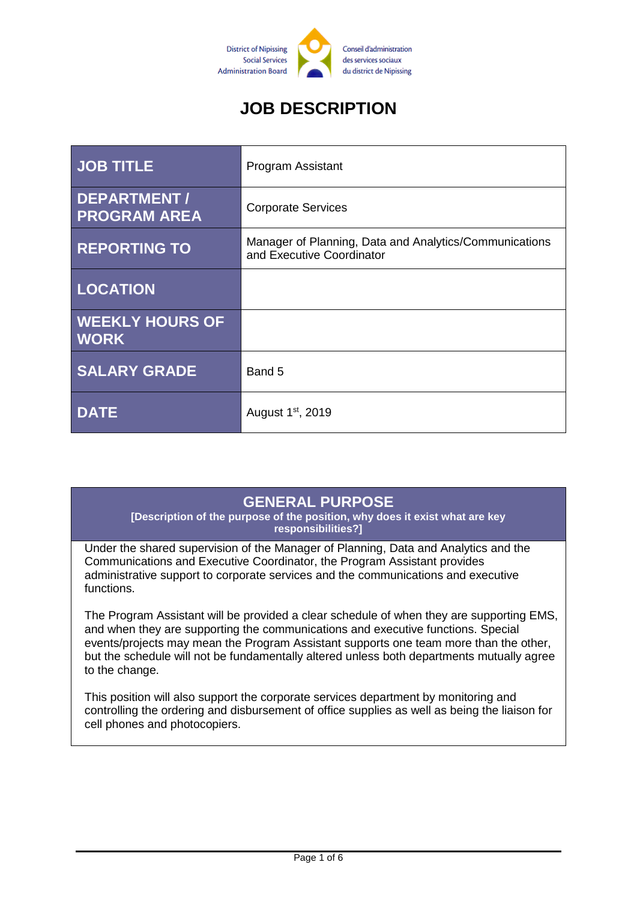

# **JOB DESCRIPTION**

| <b>JOB TITLE</b>                          | Program Assistant                                                                   |
|-------------------------------------------|-------------------------------------------------------------------------------------|
| <b>DEPARTMENT/</b><br><b>PROGRAM AREA</b> | <b>Corporate Services</b>                                                           |
| <b>REPORTING TO</b>                       | Manager of Planning, Data and Analytics/Communications<br>and Executive Coordinator |
| <b>LOCATION</b>                           |                                                                                     |
| <b>WEEKLY HOURS OF</b><br><b>WORK</b>     |                                                                                     |
| <b>SALARY GRADE</b>                       | Band 5                                                                              |
| <b>DATE</b>                               | August 1 <sup>st</sup> , 2019                                                       |

### **GENERAL PURPOSE**

**[Description of the purpose of the position, why does it exist what are key responsibilities?]**

Under the shared supervision of the Manager of Planning, Data and Analytics and the Communications and Executive Coordinator, the Program Assistant provides administrative support to corporate services and the communications and executive functions.

The Program Assistant will be provided a clear schedule of when they are supporting EMS, and when they are supporting the communications and executive functions. Special events/projects may mean the Program Assistant supports one team more than the other, but the schedule will not be fundamentally altered unless both departments mutually agree to the change.

This position will also support the corporate services department by monitoring and controlling the ordering and disbursement of office supplies as well as being the liaison for cell phones and photocopiers.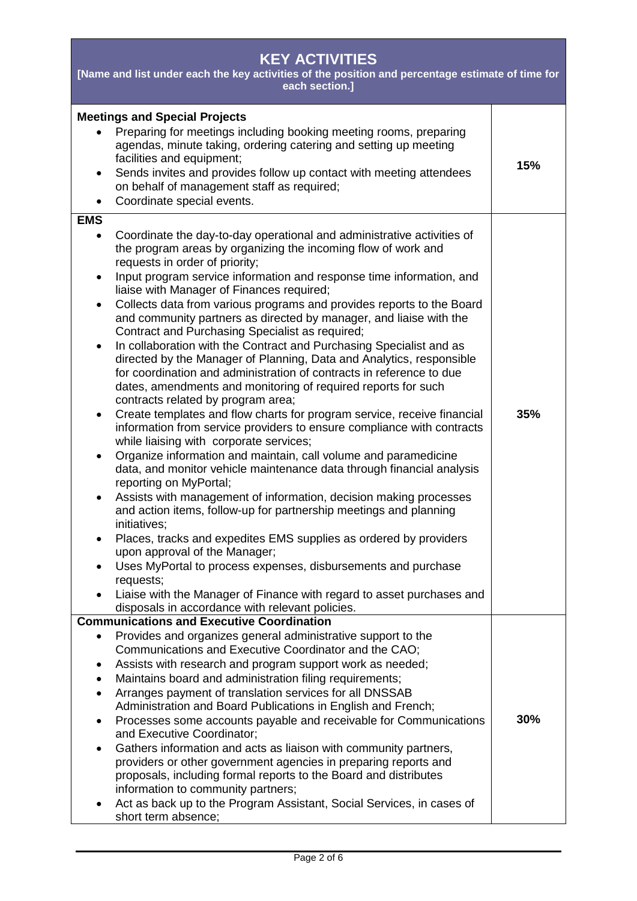| <b>KEY ACTIVITIES</b><br>[Name and list under each the key activities of the position and percentage estimate of time for<br>each section.]                                                                                                                                                                                                                                                                                                                                                                                                                                                                                                                                                                                                                                                                                                                                                                                                                                                                                                                                                                                                                                                                                                                                                                                                                                                                                                                                                                                                                                                                                                                                                                                                                                |     |  |
|----------------------------------------------------------------------------------------------------------------------------------------------------------------------------------------------------------------------------------------------------------------------------------------------------------------------------------------------------------------------------------------------------------------------------------------------------------------------------------------------------------------------------------------------------------------------------------------------------------------------------------------------------------------------------------------------------------------------------------------------------------------------------------------------------------------------------------------------------------------------------------------------------------------------------------------------------------------------------------------------------------------------------------------------------------------------------------------------------------------------------------------------------------------------------------------------------------------------------------------------------------------------------------------------------------------------------------------------------------------------------------------------------------------------------------------------------------------------------------------------------------------------------------------------------------------------------------------------------------------------------------------------------------------------------------------------------------------------------------------------------------------------------|-----|--|
| <b>Meetings and Special Projects</b><br>Preparing for meetings including booking meeting rooms, preparing<br>agendas, minute taking, ordering catering and setting up meeting<br>facilities and equipment;<br>Sends invites and provides follow up contact with meeting attendees<br>on behalf of management staff as required;<br>Coordinate special events.<br>$\bullet$                                                                                                                                                                                                                                                                                                                                                                                                                                                                                                                                                                                                                                                                                                                                                                                                                                                                                                                                                                                                                                                                                                                                                                                                                                                                                                                                                                                                 | 15% |  |
| <b>EMS</b><br>Coordinate the day-to-day operational and administrative activities of<br>$\bullet$<br>the program areas by organizing the incoming flow of work and<br>requests in order of priority;<br>Input program service information and response time information, and<br>$\bullet$<br>liaise with Manager of Finances required;<br>Collects data from various programs and provides reports to the Board<br>$\bullet$<br>and community partners as directed by manager, and liaise with the<br>Contract and Purchasing Specialist as required;<br>In collaboration with the Contract and Purchasing Specialist and as<br>$\bullet$<br>directed by the Manager of Planning, Data and Analytics, responsible<br>for coordination and administration of contracts in reference to due<br>dates, amendments and monitoring of required reports for such<br>contracts related by program area;<br>Create templates and flow charts for program service, receive financial<br>$\bullet$<br>information from service providers to ensure compliance with contracts<br>while liaising with corporate services;<br>Organize information and maintain, call volume and paramedicine<br>$\bullet$<br>data, and monitor vehicle maintenance data through financial analysis<br>reporting on MyPortal;<br>Assists with management of information, decision making processes<br>and action items, follow-up for partnership meetings and planning<br>initiatives;<br>Places, tracks and expedites EMS supplies as ordered by providers<br>upon approval of the Manager;<br>Uses MyPortal to process expenses, disbursements and purchase<br>requests;<br>Liaise with the Manager of Finance with regard to asset purchases and<br>disposals in accordance with relevant policies. | 35% |  |
| <b>Communications and Executive Coordination</b><br>Provides and organizes general administrative support to the<br>$\bullet$<br>Communications and Executive Coordinator and the CAO;<br>Assists with research and program support work as needed;<br>٠<br>Maintains board and administration filing requirements;<br>Arranges payment of translation services for all DNSSAB<br>$\bullet$<br>Administration and Board Publications in English and French;<br>Processes some accounts payable and receivable for Communications<br>and Executive Coordinator;<br>Gathers information and acts as liaison with community partners,<br>$\bullet$<br>providers or other government agencies in preparing reports and<br>proposals, including formal reports to the Board and distributes<br>information to community partners;<br>Act as back up to the Program Assistant, Social Services, in cases of<br>short term absence;                                                                                                                                                                                                                                                                                                                                                                                                                                                                                                                                                                                                                                                                                                                                                                                                                                               | 30% |  |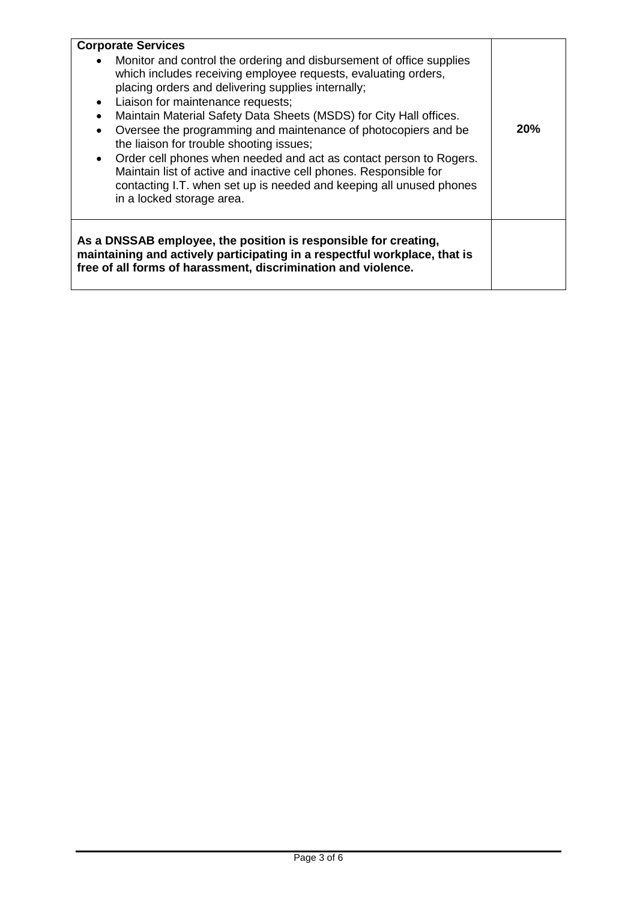| <b>Corporate Services</b><br>Monitor and control the ordering and disbursement of office supplies<br>which includes receiving employee requests, evaluating orders,<br>placing orders and delivering supplies internally;<br>Liaison for maintenance requests;<br>$\bullet$<br>Maintain Material Safety Data Sheets (MSDS) for City Hall offices.<br>$\bullet$<br>Oversee the programming and maintenance of photocopiers and be<br>$\bullet$<br>the liaison for trouble shooting issues;<br>Order cell phones when needed and act as contact person to Rogers.<br>$\bullet$<br>Maintain list of active and inactive cell phones. Responsible for<br>contacting I.T. when set up is needed and keeping all unused phones<br>in a locked storage area. | 20% |
|-------------------------------------------------------------------------------------------------------------------------------------------------------------------------------------------------------------------------------------------------------------------------------------------------------------------------------------------------------------------------------------------------------------------------------------------------------------------------------------------------------------------------------------------------------------------------------------------------------------------------------------------------------------------------------------------------------------------------------------------------------|-----|
| As a DNSSAB employee, the position is responsible for creating,<br>maintaining and actively participating in a respectful workplace, that is<br>free of all forms of harassment, discrimination and violence.                                                                                                                                                                                                                                                                                                                                                                                                                                                                                                                                         |     |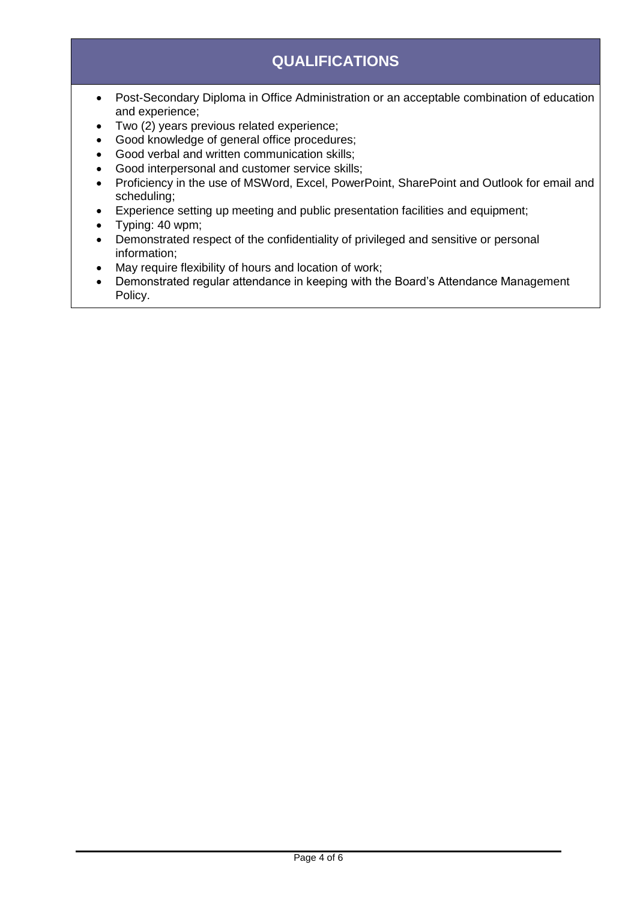# **QUALIFICATIONS**

- Post-Secondary Diploma in Office Administration or an acceptable combination of education and experience;
- Two (2) years previous related experience;
- Good knowledge of general office procedures;
- Good verbal and written communication skills;
- Good interpersonal and customer service skills;
- Proficiency in the use of MSWord, Excel, PowerPoint, SharePoint and Outlook for email and scheduling;
- Experience setting up meeting and public presentation facilities and equipment;
- Typing: 40 wpm;
- Demonstrated respect of the confidentiality of privileged and sensitive or personal information;
- May require flexibility of hours and location of work;
- Demonstrated regular attendance in keeping with the Board's Attendance Management Policy.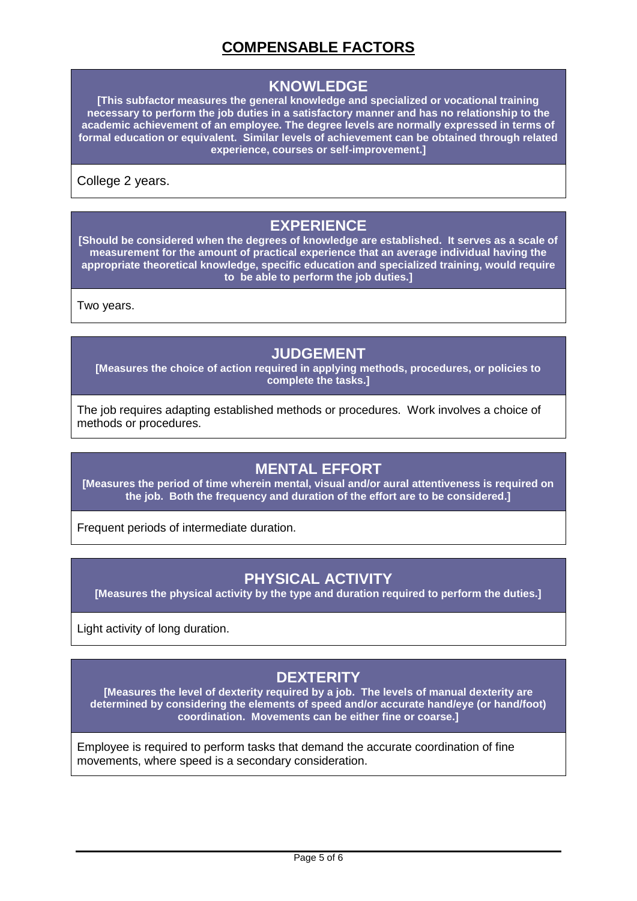# **COMPENSABLE FACTORS**

#### **KNOWLEDGE**

**[This subfactor measures the general knowledge and specialized or vocational training necessary to perform the job duties in a satisfactory manner and has no relationship to the academic achievement of an employee. The degree levels are normally expressed in terms of formal education or equivalent. Similar levels of achievement can be obtained through related experience, courses or self-improvement.]**

College 2 years.

### **EXPERIENCE**

**[Should be considered when the degrees of knowledge are established. It serves as a scale of measurement for the amount of practical experience that an average individual having the appropriate theoretical knowledge, specific education and specialized training, would require to be able to perform the job duties.]**

Two years.

#### **JUDGEMENT**

**[Measures the choice of action required in applying methods, procedures, or policies to complete the tasks.]**

The job requires adapting established methods or procedures. Work involves a choice of methods or procedures.

### **MENTAL EFFORT**

**[Measures the period of time wherein mental, visual and/or aural attentiveness is required on the job. Both the frequency and duration of the effort are to be considered.]**

Frequent periods of intermediate duration.

### **PHYSICAL ACTIVITY**

**[Measures the physical activity by the type and duration required to perform the duties.]**

Light activity of long duration.

# **DEXTERITY**

**[Measures the level of dexterity required by a job. The levels of manual dexterity are determined by considering the elements of speed and/or accurate hand/eye (or hand/foot) coordination. Movements can be either fine or coarse.]**

Employee is required to perform tasks that demand the accurate coordination of fine movements, where speed is a secondary consideration.